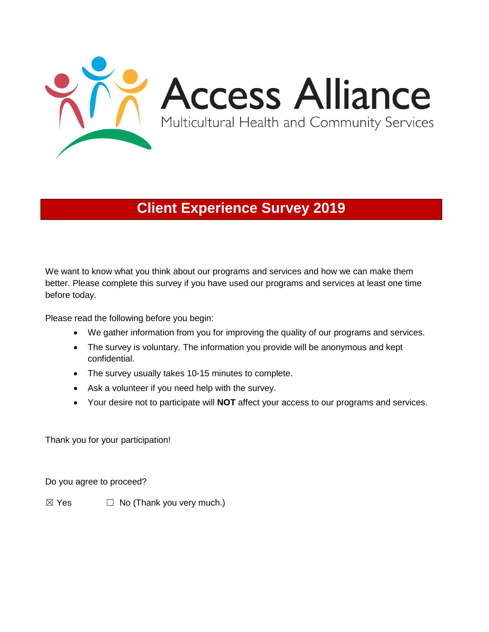

# **Client Experience Survey 2019**

We want to know what you think about our programs and services and how we can make them better. Please complete this survey if you have used our programs and services at least one time before today.

Please read the following before you begin:

- We gather information from you for improving the quality of our programs and services.
- The survey is voluntary. The information you provide will be anonymous and kept confidential.
- The survey usually takes 10-15 minutes to complete.
- Ask a volunteer if you need help with the survey.
- Your desire not to participate will **NOT** affect your access to our programs and services.

Thank you for your participation!

Do you agree to proceed?

 $\boxtimes$  Yes  $\Box$  No (Thank you very much.)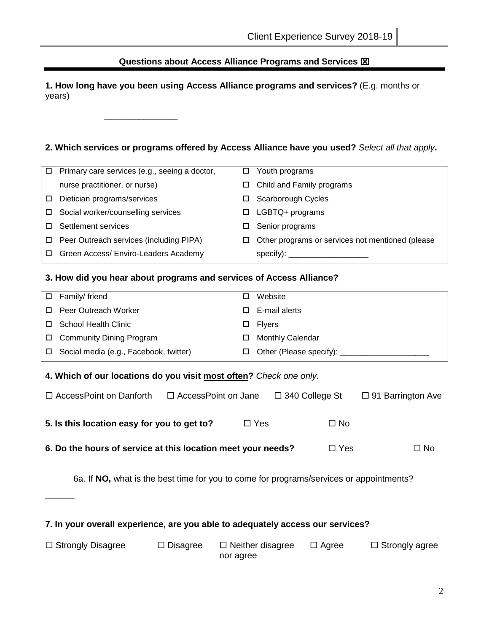### **Questions about Access Alliance Programs and Services**

**1. How long have you been using Access Alliance programs and services?** (E.g. months or years)

### **2. Which services or programs offered by Access Alliance have you used?** *Select all that apply***.**

|   | Primary care services (e.g., seeing a doctor, | □ | Youth programs                                                                                                                                                                                                                 |
|---|-----------------------------------------------|---|--------------------------------------------------------------------------------------------------------------------------------------------------------------------------------------------------------------------------------|
|   | nurse practitioner, or nurse)                 | □ | Child and Family programs                                                                                                                                                                                                      |
| □ | Dietician programs/services                   |   | Scarborough Cycles                                                                                                                                                                                                             |
|   | Social worker/counselling services            | □ | LGBTQ+ programs                                                                                                                                                                                                                |
|   | Settlement services                           |   | Senior programs                                                                                                                                                                                                                |
|   | □ Peer Outreach services (including PIPA)     | □ | Other programs or services not mentioned (please                                                                                                                                                                               |
|   | Green Access/ Enviro-Leaders Academy          |   | specify): where the contract of the contract of the contract of the contract of the contract of the contract of the contract of the contract of the contract of the contract of the contract of the contract of the contract o |

#### **3. How did you hear about programs and services of Access Alliance?**

**\_\_\_\_\_\_\_\_\_\_\_\_\_\_\_**

| □ Family/ friend                              | Website                               |
|-----------------------------------------------|---------------------------------------|
| □ Peer Outreach Worker                        | E-mail alerts                         |
| □ School Health Clinic                        | $\square$ Flyers                      |
| □ Community Dining Program                    | <b>Monthly Calendar</b>               |
| $\Box$ Social media (e.g., Facebook, twitter) | $\Box$ Other (Please specify): $\Box$ |
|                                               |                                       |

#### **4. Which of our locations do you visit most often?** *Check one only.*

 $\overline{\phantom{a}}$ 

| $\Box$ Access Point on Danforth             | $\Box$ AccessPoint on Jane |            | $\Box$ 340 College St | $\Box$ 91 Barrington Ave |
|---------------------------------------------|----------------------------|------------|-----------------------|--------------------------|
| 5. Is this location easy for you to get to? |                            | $\Box$ Yes | $\Box$ No             |                          |

**6. Do the hours of service at this location meet your needs?** □ Yes □ No

6a. If **NO,** what is the best time for you to come for programs/services or appointments?

|  |  |  | 7. In your overall experience, are you able to adequately access our services? |  |  |
|--|--|--|--------------------------------------------------------------------------------|--|--|
|--|--|--|--------------------------------------------------------------------------------|--|--|

| $\Box$ Strongly Disagree | $\Box$ Disagree | $\Box$ Neither disagree | $\Box$ Agree | $\Box$ Strongly agree |
|--------------------------|-----------------|-------------------------|--------------|-----------------------|
|                          |                 | nor agree               |              |                       |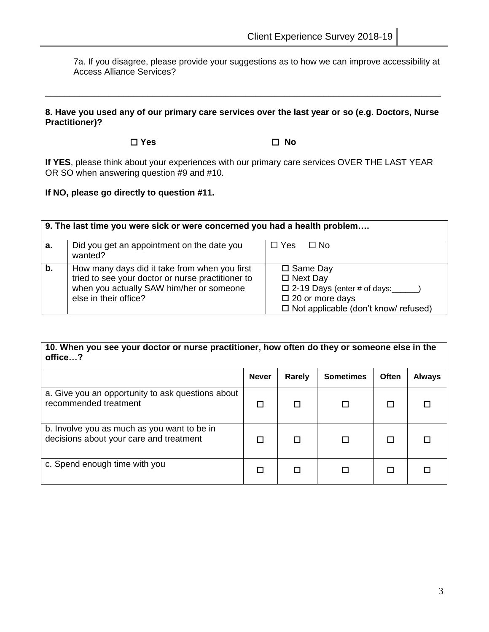7a. If you disagree, please provide your suggestions as to how we can improve accessibility at Access Alliance Services?

### **8. Have you used any of our primary care services over the last year or so (e.g. Doctors, Nurse Practitioner)?**

\_\_\_\_\_\_\_\_\_\_\_\_\_\_\_\_\_\_\_\_\_\_\_\_\_\_\_\_\_\_\_\_\_\_\_\_\_\_\_\_\_\_\_\_\_\_\_\_\_\_\_\_\_\_\_\_\_\_\_\_\_\_\_\_\_\_\_\_\_\_\_\_\_\_\_\_\_\_\_\_\_

**Yes No**

**If YES**, please think about your experiences with our primary care services OVER THE LAST YEAR OR SO when answering question #9 and #10.

**If NO, please go directly to question #11.** 

|    | 9. The last time you were sick or were concerned you had a health problem                                                                                               |                                                                                                                                                         |  |  |  |  |
|----|-------------------------------------------------------------------------------------------------------------------------------------------------------------------------|---------------------------------------------------------------------------------------------------------------------------------------------------------|--|--|--|--|
| а. | Did you get an appointment on the date you<br>wanted?                                                                                                                   | $\Box$ Yes<br>⊟ No                                                                                                                                      |  |  |  |  |
| b. | How many days did it take from when you first<br>tried to see your doctor or nurse practitioner to<br>when you actually SAW him/her or someone<br>else in their office? | $\square$ Same Day<br>$\Box$ Next Day<br>$\square$ 2-19 Days (enter # of days:<br>$\Box$ 20 or more days<br>$\Box$ Not applicable (don't know/ refused) |  |  |  |  |

| 10. When you see your doctor or nurse practitioner, how often do they or someone else in the<br>office? |              |        |                  |       |               |  |
|---------------------------------------------------------------------------------------------------------|--------------|--------|------------------|-------|---------------|--|
|                                                                                                         | <b>Never</b> | Rarely | <b>Sometimes</b> | Often | <b>Always</b> |  |
| a. Give you an opportunity to ask questions about<br>recommended treatment                              | П            |        |                  |       |               |  |
| b. Involve you as much as you want to be in<br>decisions about your care and treatment                  |              |        |                  |       |               |  |
| c. Spend enough time with you                                                                           |              |        |                  |       |               |  |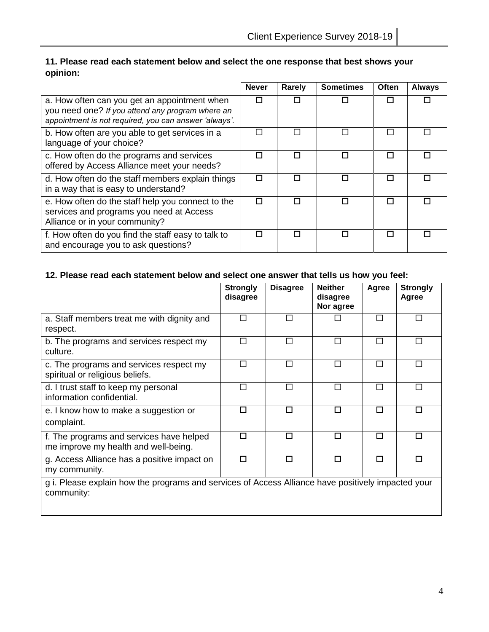# **11. Please read each statement below and select the one response that best shows your opinion:**

|                                                                                                                                                           | <b>Never</b> | Rarely | <b>Sometimes</b>            | Often | <b>Always</b> |
|-----------------------------------------------------------------------------------------------------------------------------------------------------------|--------------|--------|-----------------------------|-------|---------------|
| a. How often can you get an appointment when<br>you need one? If you attend any program where an<br>appointment is not required, you can answer 'always'. |              |        |                             |       |               |
| b. How often are you able to get services in a<br>language of your choice?                                                                                |              |        | $\mathcal{L}_{\mathcal{A}}$ |       |               |
| c. How often do the programs and services<br>offered by Access Alliance meet your needs?                                                                  | П            |        | П                           | П     |               |
| d. How often do the staff members explain things<br>in a way that is easy to understand?                                                                  | П            |        | П                           | П     |               |
| e. How often do the staff help you connect to the<br>services and programs you need at Access<br>Alliance or in your community?                           | П            |        | П                           | П     |               |
| f. How often do you find the staff easy to talk to<br>and encourage you to ask questions?                                                                 | п            |        | п                           | П     |               |

## **12. Please read each statement below and select one answer that tells us how you feel:**

|                                                                                                                  | <b>Strongly</b><br>disagree | <b>Disagree</b> | <b>Neither</b><br>disagree<br>Nor agree | Agree | <b>Strongly</b><br>Agree |
|------------------------------------------------------------------------------------------------------------------|-----------------------------|-----------------|-----------------------------------------|-------|--------------------------|
| a. Staff members treat me with dignity and<br>respect.                                                           | П                           | П               |                                         | П     | П                        |
| b. The programs and services respect my<br>culture.                                                              | П                           | П               | П                                       | П     | П                        |
| c. The programs and services respect my<br>spiritual or religious beliefs.                                       | П                           | П               | П                                       |       |                          |
| d. I trust staff to keep my personal<br>information confidential.                                                | П                           | П               | П                                       | П     |                          |
| e. I know how to make a suggestion or<br>complaint.                                                              |                             | п               | п                                       | п     | П                        |
| f. The programs and services have helped<br>me improve my health and well-being.                                 | П                           | п               | п                                       | п     | П                        |
| g. Access Alliance has a positive impact on<br>my community.                                                     | П                           | п               | п                                       | П     | П                        |
| g i. Please explain how the programs and services of Access Alliance have positively impacted your<br>community: |                             |                 |                                         |       |                          |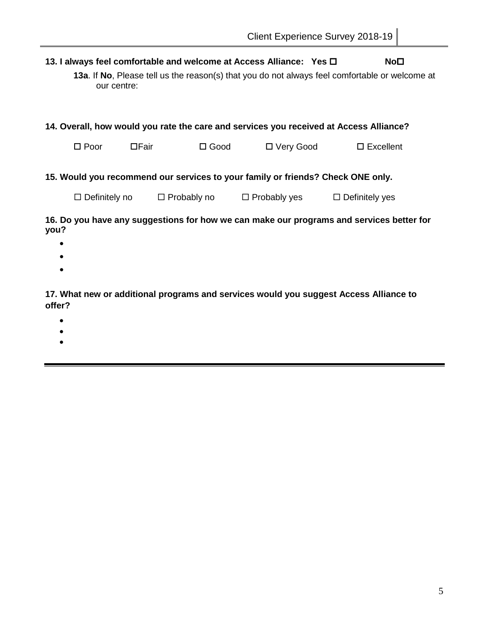### **13. I always feel comfortable and welcome at Access Alliance: Yes □ <br>No□**

**13a**. If **No**, Please tell us the reason(s) that you do not always feel comfortable or welcome at our centre:

| 14. Overall, how would you rate the care and services you received at Access Alliance? |       |                    |                     |                       |  |  |  |
|----------------------------------------------------------------------------------------|-------|--------------------|---------------------|-----------------------|--|--|--|
| $\square$ Poor                                                                         | □Fair | $\square$ Good     | □ Very Good         | $\square$ Excellent   |  |  |  |
| 15. Would you recommend our services to your family or friends? Check ONE only.        |       |                    |                     |                       |  |  |  |
| $\Box$ Definitely no                                                                   |       | $\Box$ Probably no | $\Box$ Probably yes | $\Box$ Definitely yes |  |  |  |

### **16. Do you have any suggestions for how we can make our programs and services better for you?**

- $\bullet$
- $\bullet$
- $\bullet$

### **17. What new or additional programs and services would you suggest Access Alliance to offer?**

- $\bullet$
- $\bullet$
- $\bullet$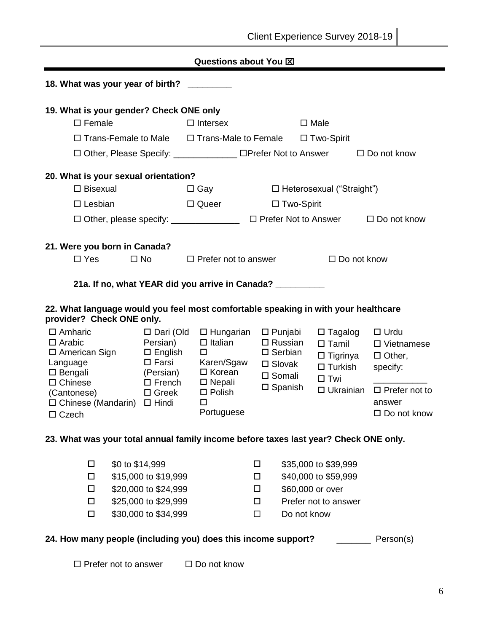|                                                                                                                 |                 |                                                                              |                                                                        | Questions about You XI                                                    |                                                                                                  |                   |                     |                                                                                    |                                                                               |
|-----------------------------------------------------------------------------------------------------------------|-----------------|------------------------------------------------------------------------------|------------------------------------------------------------------------|---------------------------------------------------------------------------|--------------------------------------------------------------------------------------------------|-------------------|---------------------|------------------------------------------------------------------------------------|-------------------------------------------------------------------------------|
| 18. What was your year of birth?                                                                                |                 |                                                                              |                                                                        |                                                                           |                                                                                                  |                   |                     |                                                                                    |                                                                               |
| 19. What is your gender? Check ONE only                                                                         |                 |                                                                              |                                                                        |                                                                           |                                                                                                  |                   |                     |                                                                                    |                                                                               |
| $\Box$ Female                                                                                                   |                 |                                                                              |                                                                        | $\Box$ Intersex                                                           |                                                                                                  |                   |                     | $\Box$ Male                                                                        |                                                                               |
|                                                                                                                 |                 |                                                                              |                                                                        | $\Box$ Trans-Female to Male $\Box$ Trans-Male to Female $\Box$ Two-Spirit |                                                                                                  |                   |                     |                                                                                    |                                                                               |
|                                                                                                                 |                 |                                                                              |                                                                        | □ Other, Please Specify: _____________ □Prefer Not to Answer              |                                                                                                  |                   |                     |                                                                                    | $\Box$ Do not know                                                            |
| 20. What is your sexual orientation?                                                                            |                 |                                                                              |                                                                        |                                                                           |                                                                                                  |                   |                     |                                                                                    |                                                                               |
| $\Box$ Bisexual                                                                                                 |                 |                                                                              |                                                                        | $\Box$ Gay                                                                |                                                                                                  |                   |                     | □ Heterosexual ("Straight")                                                        |                                                                               |
| $\Box$ Lesbian                                                                                                  |                 |                                                                              |                                                                        | $\Box$ Queer                                                              |                                                                                                  | $\Box$ Two-Spirit |                     |                                                                                    |                                                                               |
|                                                                                                                 |                 |                                                                              |                                                                        |                                                                           |                                                                                                  |                   |                     |                                                                                    | □ Other, please specify: _______________ □ Prefer Not to Answer □ Do not know |
|                                                                                                                 |                 |                                                                              |                                                                        |                                                                           |                                                                                                  |                   |                     |                                                                                    |                                                                               |
| 21. Were you born in Canada?                                                                                    |                 |                                                                              |                                                                        |                                                                           |                                                                                                  |                   |                     |                                                                                    |                                                                               |
| $\Box$ Yes                                                                                                      |                 | $\square$ No                                                                 |                                                                        | $\Box$ Prefer not to answer                                               |                                                                                                  |                   |                     | $\Box$ Do not know                                                                 |                                                                               |
|                                                                                                                 |                 |                                                                              |                                                                        | 21a. If no, what YEAR did you arrive in Canada? __________                |                                                                                                  |                   |                     |                                                                                    |                                                                               |
| 22. What language would you feel most comfortable speaking in with your healthcare<br>provider? Check ONE only. |                 |                                                                              |                                                                        |                                                                           |                                                                                                  |                   |                     |                                                                                    |                                                                               |
| $\Box$ Amharic<br>$\Box$ Arabic<br>$\square$ American Sign<br>Language<br>$\square$ Bengali                     |                 | □ Dari (Old<br>Persian)<br>$\square$ English<br>$\square$ Farsi<br>(Persian) | $\Box$ Hungarian<br>$\Box$ Italian<br>□<br>Karen/Sgaw<br>$\Box$ Korean |                                                                           | $\square$ Punjabi<br>$\Box$ Russian<br>$\square$ Serbian<br>$\square$ Slovak<br>$\square$ Somali |                   |                     | $\Box$ Tagalog<br>$\Box$ Tamil<br>□ Tigrinya<br>$\square$ Turkish<br>$\square$ Twi | $\Box$ Urdu<br>$\Box$ Vietnamese<br>$\Box$ Other,<br>specify:                 |
| $\Box$ Chinese<br>(Cantonese)<br>$\Box$ Chinese (Mandarin)<br>$\Box$ Czech                                      |                 | $\Box$ French<br>$\Box$ Greek<br>$\Box$ Hindi                                |                                                                        | $\square$ Nepali<br>$\Box$ Polish<br>$\Box$<br>Portuguese                 | $\square$ Spanish                                                                                |                   | $\square$ Ukrainian |                                                                                    | $\Box$ Prefer not to<br>answer<br>$\square$ Do not know                       |
| 23. What was your total annual family income before taxes last year? Check ONE only.                            |                 |                                                                              |                                                                        |                                                                           |                                                                                                  |                   |                     |                                                                                    |                                                                               |
| $\Box$                                                                                                          | \$0 to \$14,999 |                                                                              |                                                                        |                                                                           | □                                                                                                |                   |                     | \$35,000 to \$39,999                                                               |                                                                               |
| $\Box$                                                                                                          |                 | \$15,000 to \$19,999                                                         |                                                                        |                                                                           | $\Box$                                                                                           |                   |                     | \$40,000 to \$59,999                                                               |                                                                               |
| $\Box$                                                                                                          |                 | \$20,000 to \$24,999                                                         |                                                                        |                                                                           | $\Box$                                                                                           |                   |                     | \$60,000 or over                                                                   |                                                                               |
| 0                                                                                                               |                 | \$25,000 to \$29,999                                                         |                                                                        |                                                                           | $\Box$                                                                                           |                   |                     | Prefer not to answer                                                               |                                                                               |
| $\Box$                                                                                                          |                 | \$30,000 to \$34,999                                                         |                                                                        |                                                                           | $\Box$                                                                                           |                   |                     | Do not know                                                                        |                                                                               |
| 24. How many people (including you) does this income support?                                                   |                 |                                                                              |                                                                        |                                                                           |                                                                                                  |                   |                     |                                                                                    | Person(s)                                                                     |

 $\square$  Prefer not to answer  $\square$  Do not know